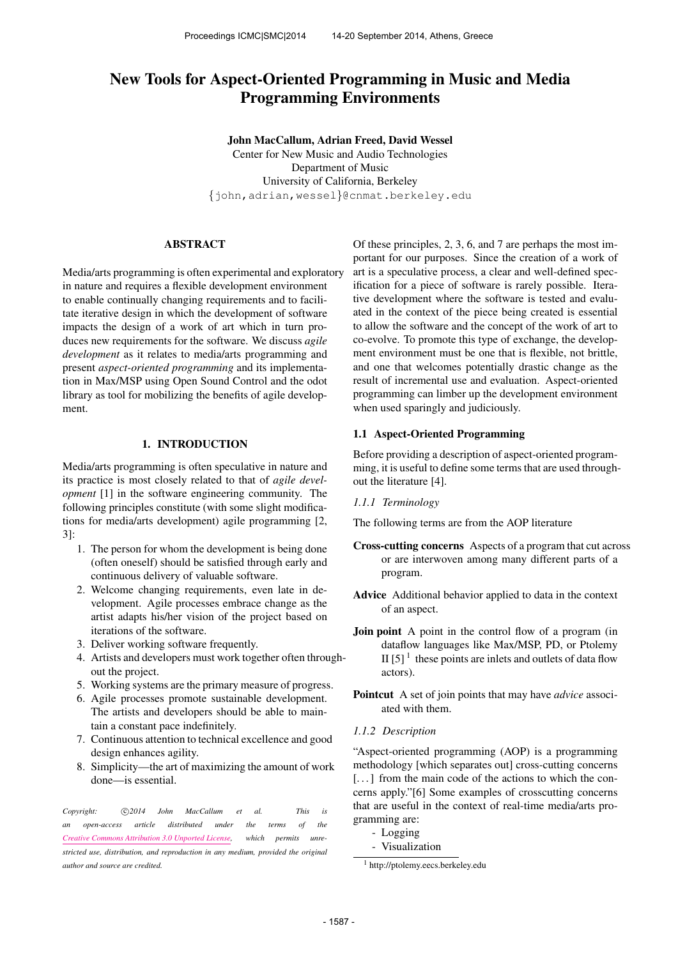# New Tools for Aspect-Oriented Programming in Music and Media Programming Environments

John MacCallum, Adrian Freed, David Wessel Center for New Music and Audio Technologies Department of Music University of California, Berkeley {john,adrian,wessel}@cnmat.berkeley.edu

# ABSTRACT

Media/arts programming is often experimental and exploratory in nature and requires a flexible development environment to enable continually changing requirements and to facilitate iterative design in which the development of software impacts the design of a work of art which in turn produces new requirements for the software. We discuss *agile development* as it relates to media/arts programming and present *aspect-oriented programming* and its implementation in Max/MSP using Open Sound Control and the odot library as tool for mobilizing the benefits of agile development.

# 1. INTRODUCTION

Media/arts programming is often speculative in nature and its practice is most closely related to that of *agile development* [1] in the software engineering community. The following principles constitute (with some slight modifications for media/arts development) agile programming [2, 3]:

- 1. The person for whom the development is being done (often oneself) should be satisfied through early and continuous delivery of valuable software.
- 2. Welcome changing requirements, even late in development. Agile processes embrace change as the artist adapts his/her vision of the project based on iterations of the software.
- 3. Deliver working software frequently.
- 4. Artists and developers must work together often throughout the project.
- 5. Working systems are the primary measure of progress.
- 6. Agile processes promote sustainable development. The artists and developers should be able to maintain a constant pace indefinitely.
- 7. Continuous attention to technical excellence and good design enhances agility.
- 8. Simplicity—the art of maximizing the amount of work done—is essential.

Copyright:  $\bigcirc$ 2014 John MacCallum et al. This is *an open-access article distributed under the terms of the [Creative Commons Attribution 3.0 Unported License,](http://creativecommons.org/licenses/by/3.0/) which permits unrestricted use, distribution, and reproduction in any medium, provided the original author and source are credited.*

Of these principles, 2, 3, 6, and 7 are perhaps the most important for our purposes. Since the creation of a work of art is a speculative process, a clear and well-defined specification for a piece of software is rarely possible. Iterative development where the software is tested and evaluated in the context of the piece being created is essential to allow the software and the concept of the work of art to co-evolve. To promote this type of exchange, the development environment must be one that is flexible, not brittle, and one that welcomes potentially drastic change as the result of incremental use and evaluation. Aspect-oriented programming can limber up the development environment when used sparingly and judiciously.

### 1.1 Aspect-Oriented Programming

Before providing a description of aspect-oriented programming, it is useful to define some terms that are used throughout the literature [4].

*1.1.1 Terminology*

The following terms are from the AOP literature

- Cross-cutting concerns Aspects of a program that cut across or are interwoven among many different parts of a program.
- Advice Additional behavior applied to data in the context of an aspect.
- Join point A point in the control flow of a program (in dataflow languages like Max/MSP, PD, or Ptolemy II [5] $<sup>1</sup>$  these points are inlets and outlets of data flow</sup> actors).
- Pointcut A set of join points that may have *advice* associated with them.
- *1.1.2 Description*

"Aspect-oriented programming (AOP) is a programming methodology [which separates out] cross-cutting concerns [...] from the main code of the actions to which the concerns apply."[6] Some examples of crosscutting concerns that are useful in the context of real-time media/arts programming are:

- Logging
- Visualization

<sup>1</sup> <http://ptolemy.eecs.berkeley.edu>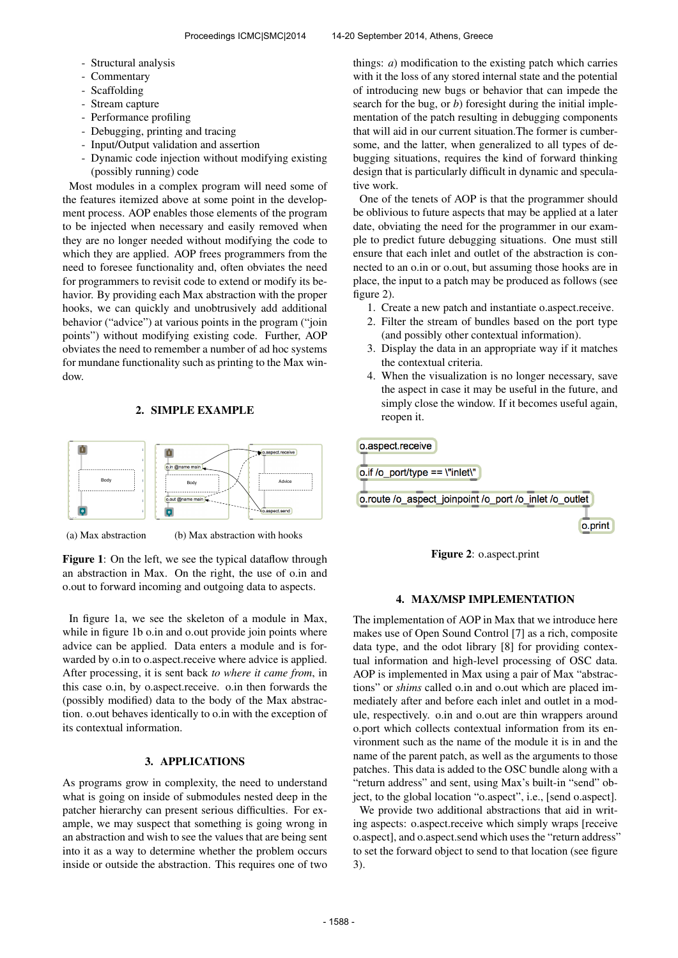- Structural analysis
- Commentary
- Scaffolding
- Stream capture
- Performance profiling
- Debugging, printing and tracing
- Input/Output validation and assertion
- Dynamic code injection without modifying existing (possibly running) code

Most modules in a complex program will need some of the features itemized above at some point in the development process. AOP enables those elements of the program to be injected when necessary and easily removed when they are no longer needed without modifying the code to which they are applied. AOP frees programmers from the need to foresee functionality and, often obviates the need for programmers to revisit code to extend or modify its behavior. By providing each Max abstraction with the proper hooks, we can quickly and unobtrusively add additional behavior ("advice") at various points in the program ("join points") without modifying existing code. Further, AOP obviates the need to remember a number of ad hoc systems for mundane functionality such as printing to the Max window.

# 2. SIMPLE EXAMPLE



(a) Max abstraction

(b) Max abstraction with hooks

Figure 1: On the left, we see the typical dataflow through an abstraction in Max. On the right, the use of o.in and o.out to forward incoming and outgoing data to aspects.

In figure 1a, we see the skeleton of a module in Max, while in figure 1b o.in and o.out provide join points where advice can be applied. Data enters a module and is forwarded by o.in to o.aspect.receive where advice is applied. After processing, it is sent back *to where it came from*, in this case o.in, by o.aspect.receive. o.in then forwards the (possibly modified) data to the body of the Max abstraction. o.out behaves identically to o.in with the exception of its contextual information.

# 3. APPLICATIONS

As programs grow in complexity, the need to understand what is going on inside of submodules nested deep in the patcher hierarchy can present serious difficulties. For example, we may suspect that something is going wrong in an abstraction and wish to see the values that are being sent into it as a way to determine whether the problem occurs inside or outside the abstraction. This requires one of two things: *a*) modification to the existing patch which carries with it the loss of any stored internal state and the potential of introducing new bugs or behavior that can impede the search for the bug, or *b*) foresight during the initial implementation of the patch resulting in debugging components that will aid in our current situation.The former is cumbersome, and the latter, when generalized to all types of debugging situations, requires the kind of forward thinking design that is particularly difficult in dynamic and speculative work.

One of the tenets of AOP is that the programmer should be oblivious to future aspects that may be applied at a later date, obviating the need for the programmer in our example to predict future debugging situations. One must still ensure that each inlet and outlet of the abstraction is connected to an o.in or o.out, but assuming those hooks are in place, the input to a patch may be produced as follows (see figure 2).

- 1. Create a new patch and instantiate o.aspect.receive.
- 2. Filter the stream of bundles based on the port type (and possibly other contextual information).
- 3. Display the data in an appropriate way if it matches the contextual criteria.
- 4. When the visualization is no longer necessary, save the aspect in case it may be useful in the future, and simply close the window. If it becomes useful again, reopen it.

o.aspect.receive o.if /o\_port/type == \"inlet\" o.route /o aspect joinpoint /o port /o inlet /o outlet o.print



# 4. MAX/MSP IMPLEMENTATION

The implementation of AOP in Max that we introduce here makes use of Open Sound Control [7] as a rich, composite data type, and the odot library [8] for providing contextual information and high-level processing of OSC data. AOP is implemented in Max using a pair of Max "abstractions" or *shims* called o.in and o.out which are placed immediately after and before each inlet and outlet in a module, respectively. o.in and o.out are thin wrappers around o.port which collects contextual information from its environment such as the name of the module it is in and the name of the parent patch, as well as the arguments to those patches. This data is added to the OSC bundle along with a "return address" and sent, using Max's built-in "send" object, to the global location "o.aspect", i.e., [send o.aspect].

We provide two additional abstractions that aid in writing aspects: o.aspect.receive which simply wraps [receive o.aspect], and o.aspect.send which uses the "return address" to set the forward object to send to that location (see figure 3).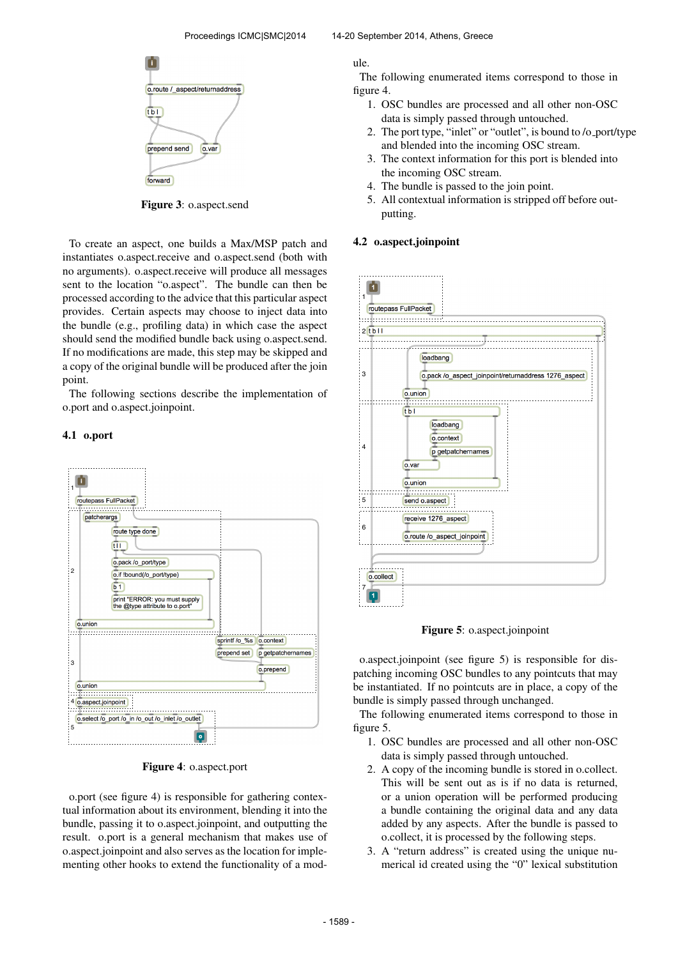

Figure 3: o.aspect.send

To create an aspect, one builds a Max/MSP patch and instantiates o.aspect.receive and o.aspect.send (both with no arguments). o.aspect.receive will produce all messages sent to the location "o.aspect". The bundle can then be processed according to the advice that this particular aspect provides. Certain aspects may choose to inject data into the bundle (e.g., profiling data) in which case the aspect should send the modified bundle back using o.aspect.send. If no modifications are made, this step may be skipped and a copy of the original bundle will be produced after the join point.

The following sections describe the implementation of o.port and o.aspect.joinpoint.

#### 4.1 o.port



Figure 4: o.aspect.port

o.port (see figure 4) is responsible for gathering contextual information about its environment, blending it into the bundle, passing it to o.aspect.joinpoint, and outputting the result. o.port is a general mechanism that makes use of o.aspect.joinpoint and also serves as the location for implementing other hooks to extend the functionality of a module.

The following enumerated items correspond to those in figure 4.

- 1. OSC bundles are processed and all other non-OSC data is simply passed through untouched.
- 2. The port type, "inlet" or "outlet", is bound to /o port/type and blended into the incoming OSC stream.
- 3. The context information for this port is blended into the incoming OSC stream.
- 4. The bundle is passed to the join point.
- 5. All contextual information is stripped off before outputting.

#### 4.2 o.aspect.joinpoint



Figure 5: o.aspect.joinpoint

o.aspect.joinpoint (see figure 5) is responsible for dispatching incoming OSC bundles to any pointcuts that may be instantiated. If no pointcuts are in place, a copy of the bundle is simply passed through unchanged.

The following enumerated items correspond to those in figure 5.

- 1. OSC bundles are processed and all other non-OSC data is simply passed through untouched.
- 2. A copy of the incoming bundle is stored in o.collect. This will be sent out as is if no data is returned, or a union operation will be performed producing a bundle containing the original data and any data added by any aspects. After the bundle is passed to o.collect, it is processed by the following steps.
- 3. A "return address" is created using the unique numerical id created using the "0" lexical substitution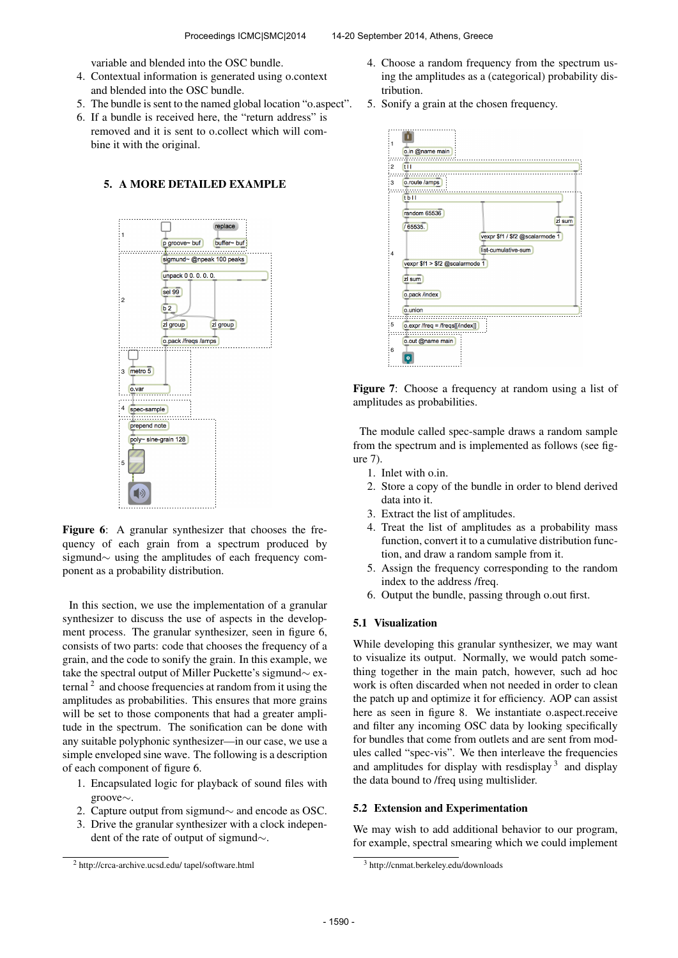variable and blended into the OSC bundle.

- 4. Contextual information is generated using o.context and blended into the OSC bundle.
- 5. The bundle is sent to the named global location "o.aspect".
- 6. If a bundle is received here, the "return address" is removed and it is sent to o.collect which will combine it with the original.

### 5. A MORE DETAILED EXAMPLE



Figure 6: A granular synthesizer that chooses the frequency of each grain from a spectrum produced by sigmund∼ using the amplitudes of each frequency component as a probability distribution.

In this section, we use the implementation of a granular synthesizer to discuss the use of aspects in the development process. The granular synthesizer, seen in figure 6, consists of two parts: code that chooses the frequency of a grain, and the code to sonify the grain. In this example, we take the spectral output of Miller Puckette's sigmund∼ external  $2$  and choose frequencies at random from it using the amplitudes as probabilities. This ensures that more grains will be set to those components that had a greater amplitude in the spectrum. The sonification can be done with any suitable polyphonic synthesizer—in our case, we use a simple enveloped sine wave. The following is a description of each component of figure 6.

- 1. Encapsulated logic for playback of sound files with groove∼.
- 2. Capture output from sigmund∼ and encode as OSC.
- 3. Drive the granular synthesizer with a clock independent of the rate of output of sigmund∼.
- 4. Choose a random frequency from the spectrum using the amplitudes as a (categorical) probability distribution.
- 5. Sonify a grain at the chosen frequency.





The module called spec-sample draws a random sample from the spectrum and is implemented as follows (see figure 7).

- 1. Inlet with o.in.
- 2. Store a copy of the bundle in order to blend derived data into it.
- 3. Extract the list of amplitudes.
- 4. Treat the list of amplitudes as a probability mass function, convert it to a cumulative distribution function, and draw a random sample from it.
- 5. Assign the frequency corresponding to the random index to the address /freq.
- 6. Output the bundle, passing through o.out first.

## 5.1 Visualization

While developing this granular synthesizer, we may want to visualize its output. Normally, we would patch something together in the main patch, however, such ad hoc work is often discarded when not needed in order to clean the patch up and optimize it for efficiency. AOP can assist here as seen in figure 8. We instantiate o.aspect.receive and filter any incoming OSC data by looking specifically for bundles that come from outlets and are sent from modules called "spec-vis". We then interleave the frequencies and amplitudes for display with resdisplay  $3$  and display the data bound to /freq using multislider.

#### 5.2 Extension and Experimentation

We may wish to add additional behavior to our program, for example, spectral smearing which we could implement

<sup>2</sup> [http://crca-archive.ucsd.edu/ tapel/software.html](http://crca-archive.ucsd.edu/~tapel/software.html)

<sup>3</sup> <http://cnmat.berkeley.edu/downloads>